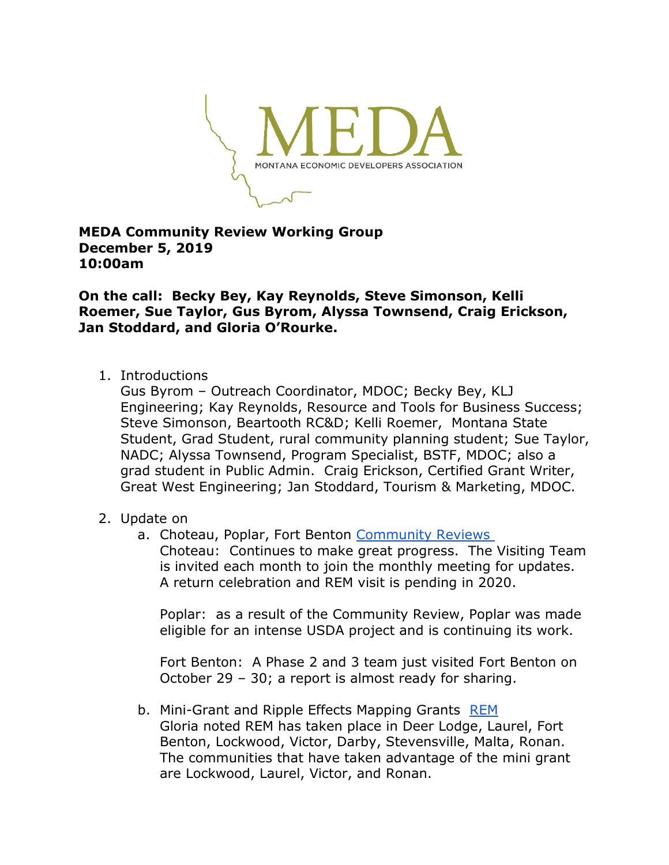

## **MEDA Community Review Working Group December 5, 2019 10:00am**

**On the call: Becky Bey, Kay Reynolds, Steve Simonson, Kelli Roemer, Sue Taylor, Gus Byrom, Alyssa Townsend, Craig Erickson, Jan Stoddard, and Gloria O'Rourke.**

1. Introductions

Gus Byrom – Outreach Coordinator, MDOC; Becky Bey, KLJ Engineering; Kay Reynolds, Resource and Tools for Business Success; Steve Simonson, Beartooth RC&D; Kelli Roemer, Montana State Student, Grad Student, rural community planning student; Sue Taylor, NADC; Alyssa Townsend, Program Specialist, BSTF, MDOC; also a grad student in Public Admin. Craig Erickson, Certified Grant Writer, Great West Engineering; Jan Stoddard, Tourism & Marketing, MDOC.

- 2. Update on
	- a. Choteau, Poplar, Fort Benton [Community Reviews](https://www.medamembers.org/resources/community-reviews) Choteau: Continues to make great progress. The Visiting Team is invited each month to join the monthly meeting for updates. A return celebration and REM visit is pending in 2020.

Poplar: as a result of the Community Review, Poplar was made eligible for an intense USDA project and is continuing its work.

Fort Benton: A Phase 2 and 3 team just visited Fort Benton on October 29 – 30; a report is almost ready for sharing.

b. Mini-Grant and Ripple Effects Mapping Grants [REM](https://www.medamembers.org/resources/resource-team-assessments/?d=compact&sort=publishDate) Gloria noted REM has taken place in Deer Lodge, Laurel, Fort Benton, Lockwood, Victor, Darby, Stevensville, Malta, Ronan. The communities that have taken advantage of the mini grant are Lockwood, Laurel, Victor, and Ronan.